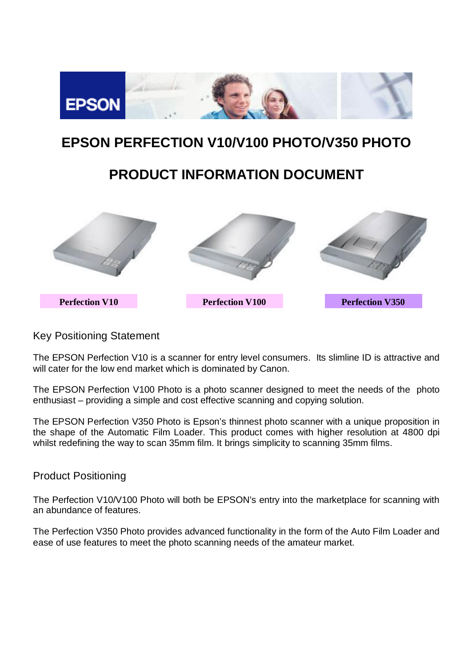

# **EPSON PERFECTION V10/V100 PHOTO/V350 PHOTO**

# **PRODUCT INFORMATION DOCUMENT**



# Key Positioning Statement

The EPSON Perfection V10 is a scanner for entry level consumers. Its slimline ID is attractive and will cater for the low end market which is dominated by Canon.

The EPSON Perfection V100 Photo is a photo scanner designed to meet the needs of the photo enthusiast – providing a simple and cost effective scanning and copying solution.

The EPSON Perfection V350 Photo is Epson's thinnest photo scanner with a unique proposition in the shape of the Automatic Film Loader. This product comes with higher resolution at 4800 dpi whilst redefining the way to scan 35mm film. It brings simplicity to scanning 35mm films.

# Product Positioning

The Perfection V10/V100 Photo will both be EPSON's entry into the marketplace for scanning with an abundance of features.

The Perfection V350 Photo provides advanced functionality in the form of the Auto Film Loader and ease of use features to meet the photo scanning needs of the amateur market.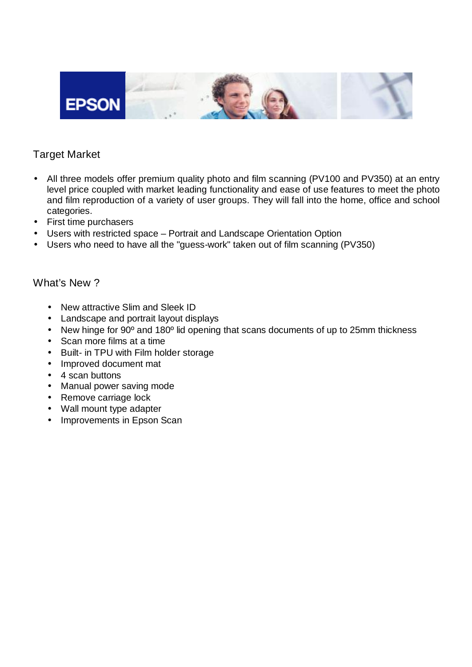

# Target Market

- All three models offer premium quality photo and film scanning (PV100 and PV350) at an entry level price coupled with market leading functionality and ease of use features to meet the photo and film reproduction of a variety of user groups. They will fall into the home, office and school categories.
- First time purchasers
- Users with restricted space Portrait and Landscape Orientation Option
- Users who need to have all the "guess-work" taken out of film scanning (PV350)

# What's New ?

- New attractive Slim and Sleek ID
- Landscape and portrait layout displays
- New hinge for 90° and 180° lid opening that scans documents of up to 25mm thickness
- Scan more films at a time
- Built- in TPU with Film holder storage
- Improved document mat
- 4 scan buttons
- Manual power saving mode
- Remove carriage lock
- Wall mount type adapter
- Improvements in Epson Scan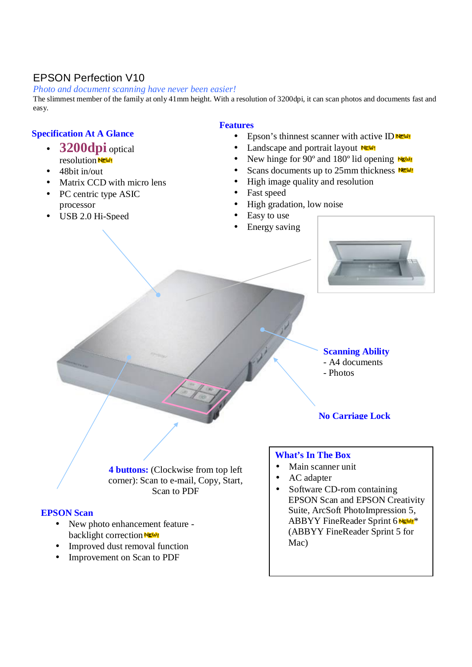# EPSON Perfection V10

### *Photo and document scanning have never been easier!*

The slimmest member of the family at only 41mm height. With a resolution of 3200dpi, it can scan photos and documents fast and easy.

### **Specification At A Glance**

- **3200dpi** optical resolution NEW!
- 48bit in/out
- Matrix CCD with micro lens
- PC centric type ASIC processor
- USB 2.0 Hi-Speed

### **Features**

- Epson's thinnest scanner with active ID  $N \in \mathcal{W}$
- Landscape and portrait layout NEW!
- New hinge for  $90^\circ$  and  $180^\circ$  lid opening NEW!
- Scans documents up to  $25$ mm thickness NEW!
- High image quality and resolution
- Fast speed
- High gradation, low noise
- Easy to use
- Energy saving



### **Scanning Ability**

- A4 documents
- Photos

**No Carriage Lock**

**4 buttons:** (Clockwise from top left corner): Scan to e-mail, Copy, Start, Scan to PDF

### **EPSON Scan**

- New photo enhancement feature backlight correction NEW!
- Improved dust removal function
- Improvement on Scan to PDF

### **What's In The Box**

- Main scanner unit
- AC adapter
- Software CD-rom containing EPSON Scan and EPSON Creativity Suite, ArcSoft PhotoImpression 5, ABBYY FineReader Sprint 6 NEW!\* (ABBYY FineReader Sprint 5 for Mac)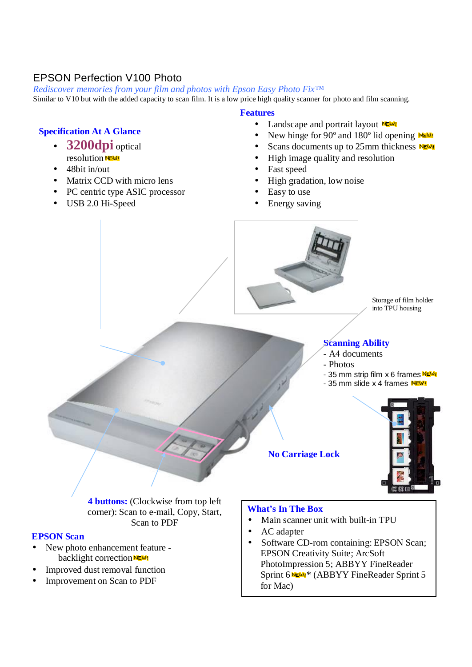# EPSON Perfection V100 Photo

*Rediscover memories from your film and photos with Epson Easy Photo Fix™* 

Similar to V10 but with the added capacity to scan film. It is a low price high quality scanner for photo and film scanning.

#### **Features**

- Landscape and portrait layout NEW!
- New hinge for 90 $\degree$  and 180 $\degree$  lid opening NEW!
- Scans documents up to 25mm thickness  $N$
- High image quality and resolution
- Fast speed
- High gradation, low noise
- Easy to use
- Energy saving





**4 buttons:** (Clockwise from top left corner): Scan to e-mail, Copy, Start, Scan to PDF

### **EPSON Scan**

- New photo enhancement feature backlight correction NEW!
- Improved dust removal function
- Improvement on Scan to PDF

### **What's In The Box**

- Main scanner unit with built-in TPU
- AC adapter
- Software CD-rom containing: EPSON Scan; EPSON Creativity Suite; ArcSoft PhotoImpression 5; ABBYY FineReader Sprint 6 NEW1\* (ABBYY FineReader Sprint 5 for Mac)

### **Specification At A Glance**

- **3200dpi** optical resolution  $\frac{1}{N_E \omega_i}$
- 48bit in/out
- Matrix CCD with micro lens
- PC centric type ASIC processor
- USB 2.0 Hi-Speed

 $\mathcal{P}(\mathcal{A})$